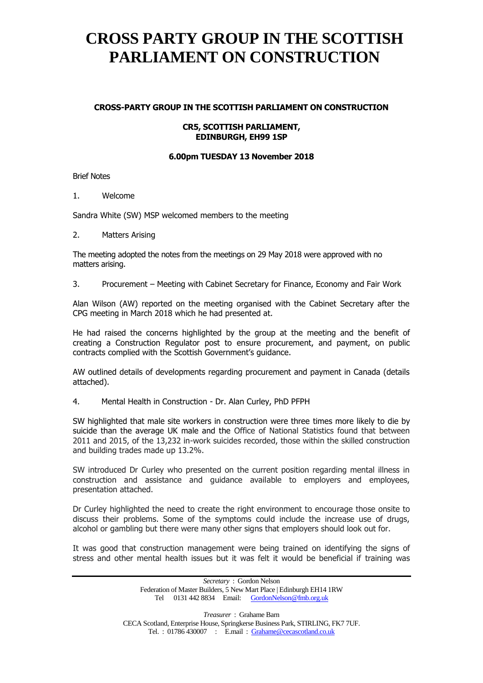# **CROSS PARTY GROUP IN THE SCOTTISH PARLIAMENT ON CONSTRUCTION**

### **CROSS-PARTY GROUP IN THE SCOTTISH PARLIAMENT ON CONSTRUCTION**

#### **CR5, SCOTTISH PARLIAMENT, EDINBURGH, EH99 1SP**

### **6.00pm TUESDAY 13 November 2018**

Brief Notes

1. Welcome

Sandra White (SW) MSP welcomed members to the meeting

2. Matters Arising

The meeting adopted the notes from the meetings on 29 May 2018 were approved with no matters arising.

3. Procurement – Meeting with Cabinet Secretary for Finance, Economy and Fair Work

Alan Wilson (AW) reported on the meeting organised with the Cabinet Secretary after the CPG meeting in March 2018 which he had presented at.

He had raised the concerns highlighted by the group at the meeting and the benefit of creating a Construction Regulator post to ensure procurement, and payment, on public contracts complied with the Scottish Government's guidance.

AW outlined details of developments regarding procurement and payment in Canada (details attached).

4. Mental Health in Construction - Dr. Alan Curley, PhD PFPH

SW highlighted that male site workers in construction were three times more likely to die by suicide than the average UK male and the Office of National Statistics found that between 2011 and 2015, of the 13,232 in-work suicides recorded, those within the skilled construction and building trades made up 13.2%.

SW introduced Dr Curley who presented on the current position regarding mental illness in construction and assistance and guidance available to employers and employees, presentation attached.

Dr Curley highlighted the need to create the right environment to encourage those onsite to discuss their problems. Some of the symptoms could include the increase use of drugs, alcohol or gambling but there were many other signs that employers should look out for.

It was good that construction management were being trained on identifying the signs of stress and other mental health issues but it was felt it would be beneficial if training was

> *Secretary* : Gordon Nelson Federation of Master Builders, 5 New Mart Place | Edinburgh EH14 1RW Tel 0131 442 8834 Email: [GordonNelson@fmb.org.uk](mailto:GordonNelson@fmb.org.uk)

*Treasurer* : Grahame Barn CECA Scotland, Enterprise House, Springkerse Business Park, STIRLING, FK7 7UF. Tel. : 01786 430007 : E.mail : [Grahame@cecascotland.co.uk](mailto:Grahame@cecascotland.co.uk)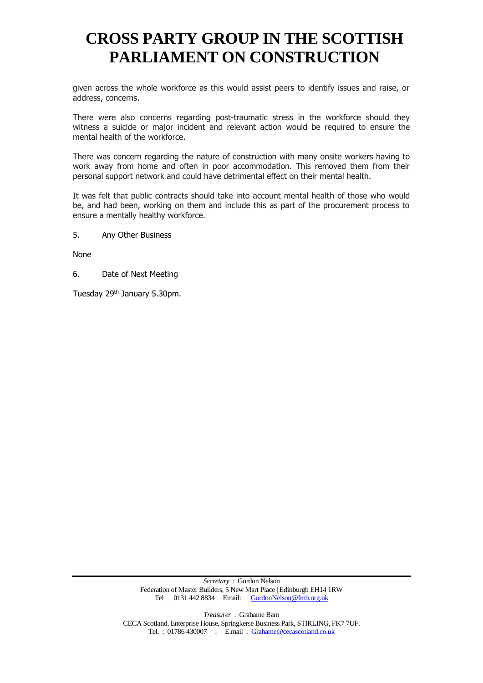# **CROSS PARTY GROUP IN THE SCOTTISH PARLIAMENT ON CONSTRUCTION**

given across the whole workforce as this would assist peers to identify issues and raise, or address, concerns.

There were also concerns regarding post-traumatic stress in the workforce should they witness a suicide or major incident and relevant action would be required to ensure the mental health of the workforce.

There was concern regarding the nature of construction with many onsite workers having to work away from home and often in poor accommodation. This removed them from their personal support network and could have detrimental effect on their mental health.

It was felt that public contracts should take into account mental health of those who would be, and had been, working on them and include this as part of the procurement process to ensure a mentally healthy workforce.

5. Any Other Business

None

6. Date of Next Meeting

Tuesday 29<sup>th</sup> January 5.30pm.

*Secretary* : Gordon Nelson Federation of Master Builders, 5 New Mart Place | Edinburgh EH14 1RW Tel 0131 442 8834 Email: [GordonNelson@fmb.org.uk](mailto:GordonNelson@fmb.org.uk)

*Treasurer* : Grahame Barn CECA Scotland, Enterprise House, Springkerse Business Park, STIRLING, FK7 7UF. Tel. : 01786 430007 : E.mail : [Grahame@cecascotland.co.uk](mailto:Grahame@cecascotland.co.uk)